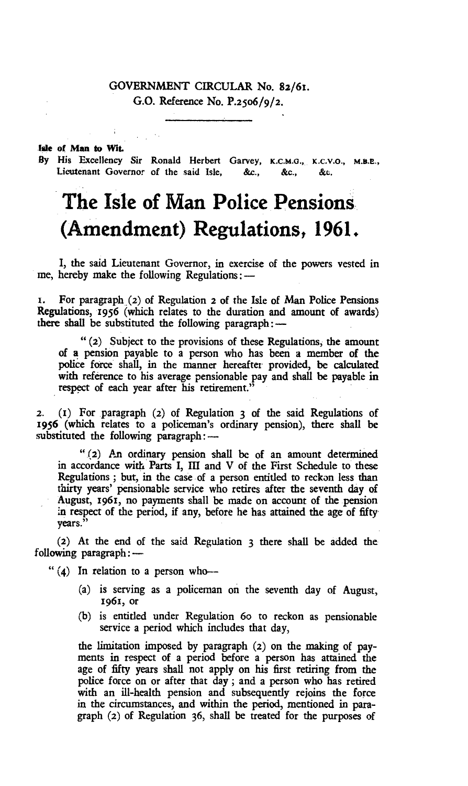# GOVERNMENT CIRCULAR No. 82/61. G.O. Reference No. P.2506/9/2.

#### **We of Men to Wit.**

**By** His Excellency Sir Ronald Herbert Garvey, **K.C.M.O.,** x.c.v.o., Lieutenant Governor of the said Isle, &c., &c., &c.

# **The Isle of Man Police Pensions (Amendment) Regulations, 1961.**

I, the said Lieutenant Governor, in exercise of the powers vested in me, hereby make the following Regulations:—

1. For paragraph (2) of Regulation **2** of the Isle of Man Police Pensions Regulations, 1956 (which relates to the duration and amount of awards) there shall be substituted the following paragraph:—

" (2) Subject to the provisions of these Regulations, the amount of a pension payable to a person who has been a member of the police force shall, in the manner hereafter provided, be calculated with reference to his average pensionable pay and shall be payable **in**  respect of each year after his retirement.'

2. (i) For paragraph (2) of Regulation 3 of the said Regulations of 1956 (which relates to a policeman's ordinary pension), there shall be substituted the following paragraph:—

" (2) An ordinary pension shall be of an amount determined in accordance with Parts I, III and V of the First Schedule to these Regulations ; but, in the case of a person entitled to reckon less than thirty years' pensionable service who retires after the seventh day of August, 1961, no payments shall be made on account of the pension in respect of the period, if any, before he has attained the age of fifty years."

(2) At the end of the said Regulation 3 there shall be added the following paragraph:—

" (4) In relation to a person who—

- (a) is serving as a policeman on the seventh day of August, 1961, or
- (b) is entitled under Regulation 6o to reckon as pensionable service a period which includes that day,

the limitation imposed by paragraph **(2)** on the making of payments in respect of a period before a person has attained the age of fifty years shall not apply on his first retiring from the police force on or after that day ; and a person who has retired with an ill-health pension and subsequently rejoins the force in the circumstances, and within the period, mentioned in paragraph **(2)** of Regulation 36, shall be treated for the purposes of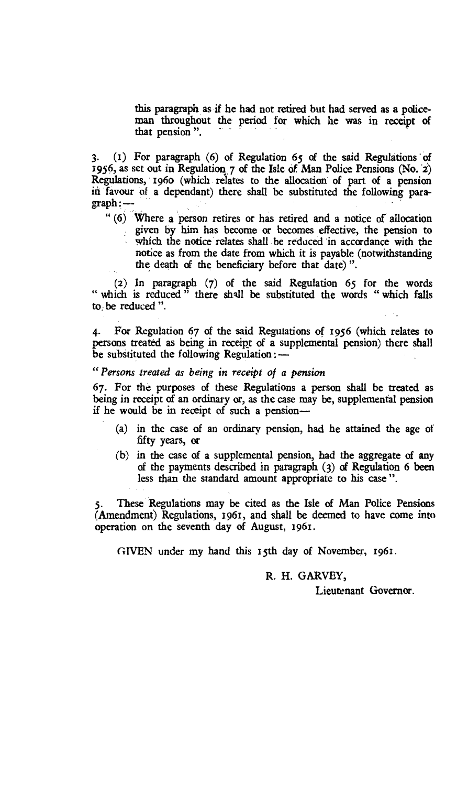this paragraph as if he had not retired but had served as a policeman throughout the period for which he was in receipt of that pension ".

3. (i) For paragraph (6) of Regulation 65 of the said Regulations of 1956, as set out in Regulation 7 of the Isle of Man Police Pensions (No. 2) Regulations, 196o (which relates to the allocation of part of a pension in favour of a dependant) there shall be substituted the following paragraph:—

" (6) Where a person retires or has retired and a notice of allocation given by him has become or becomes effective, the pension to which the notice relates shall be reduced in accordance with the notice as from the date from which it is payable (notwithstanding the death of the beneficiary before that date) ".

(2) In paragraph (7) of the said Regulation 65 for the words " which is reduced " there shall be substituted the words " which falls to, be reduced ".

4. For Regulation 67 of the said Regulations of 1956 (which relates to persons treated as being in receipt of a supplemental pension) there shall be substituted the following Regulation: *—* 

# *"Persons treated as being in receipt of a pension*

67. For the purposes of these Regulations a person shall be treated as being in receipt of an ordinary or, as the case may be, supplemental pension if he would be in receipt of such a pension—

- (a) in the case of an ordinary pension, had he attained the age of fifty years, or
- (b) in the case of a supplemental pension, had the aggregate of *any*  of the payments described in paragraph (3) of Regulation 6 been less than the standard amount appropriate to his case ".

These Regulations may be cited as the Isle of Man Police Pensions (Amendment) Regulations, 1961, and shall be deemed to have come into operation on the seventh day of August, 1961.

GIVEN under my hand this 15th day of November, 1961,

#### R. H. GARVEY,

Lieutenant Governor.